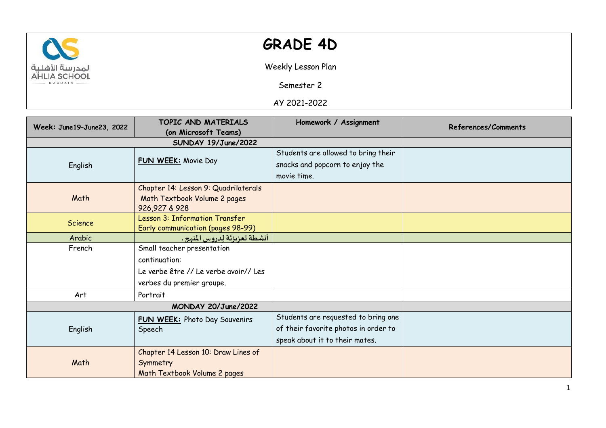

## **GRADE 4D**

Weekly Lesson Plan

Semester 2

AY 2021-2022

| Week: June19-June23, 2022 | TOPIC AND MATERIALS                            | Homework / Assignment                | References/Comments |
|---------------------------|------------------------------------------------|--------------------------------------|---------------------|
|                           | (on Microsoft Teams)                           |                                      |                     |
|                           |                                                |                                      |                     |
| English                   | FUN WEEK: Movie Day                            | Students are allowed to bring their  |                     |
|                           |                                                | snacks and popcorn to enjoy the      |                     |
|                           |                                                | movie time.                          |                     |
| Math                      | Chapter 14: Lesson 9: Quadrilaterals           |                                      |                     |
|                           | Math Textbook Volume 2 pages                   |                                      |                     |
|                           | 926,927 & 928                                  |                                      |                     |
| Science                   | Lesson 3: Information Transfer                 |                                      |                     |
|                           | Early communication (pages 98-99)              |                                      |                     |
| Arabic                    | أنشطة تعزيزتَة لِدروس المنهج .                 |                                      |                     |
| French                    | Small teacher presentation                     |                                      |                     |
|                           | continuation:                                  |                                      |                     |
|                           | Le verbe être // Le verbe avoir// Les          |                                      |                     |
|                           | verbes du premier groupe.                      |                                      |                     |
| Art                       | Portrait                                       |                                      |                     |
| MONDAY 20/June/2022       |                                                |                                      |                     |
| English                   | <b>FUN WEEK:</b> Photo Day Souvenirs<br>Speech | Students are requested to bring one  |                     |
|                           |                                                | of their favorite photos in order to |                     |
|                           |                                                | speak about it to their mates.       |                     |
| Math                      | Chapter 14 Lesson 10: Draw Lines of            |                                      |                     |
|                           | Symmetry                                       |                                      |                     |
|                           | Math Textbook Volume 2 pages                   |                                      |                     |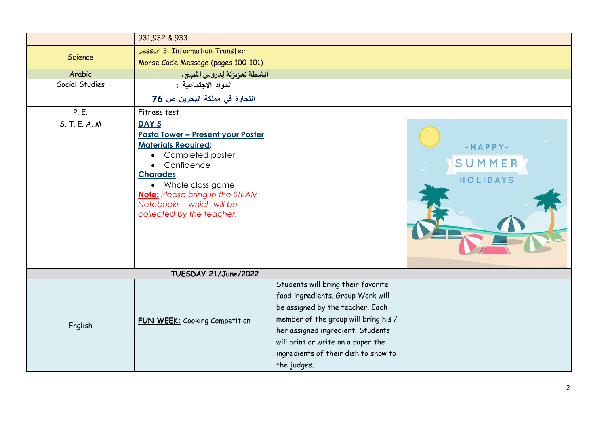|                | 931,932 & 933                                                                                                                                                                                                                                                                                        |                                                                                                                                                                                                                                                                                       |                                 |
|----------------|------------------------------------------------------------------------------------------------------------------------------------------------------------------------------------------------------------------------------------------------------------------------------------------------------|---------------------------------------------------------------------------------------------------------------------------------------------------------------------------------------------------------------------------------------------------------------------------------------|---------------------------------|
|                |                                                                                                                                                                                                                                                                                                      |                                                                                                                                                                                                                                                                                       |                                 |
| Science        | Lesson 3: Information Transfer                                                                                                                                                                                                                                                                       |                                                                                                                                                                                                                                                                                       |                                 |
|                | Morse Code Message (pages 100-101)                                                                                                                                                                                                                                                                   |                                                                                                                                                                                                                                                                                       |                                 |
| Arabic         | أنشطة تعزيزتَة لِدروس المنهج .                                                                                                                                                                                                                                                                       |                                                                                                                                                                                                                                                                                       |                                 |
| Social Studies | المواد الاجتماعية :                                                                                                                                                                                                                                                                                  |                                                                                                                                                                                                                                                                                       |                                 |
|                | التجارة في مملكة البحرين ص 76                                                                                                                                                                                                                                                                        |                                                                                                                                                                                                                                                                                       |                                 |
| P. E.          | Fitness test                                                                                                                                                                                                                                                                                         |                                                                                                                                                                                                                                                                                       |                                 |
| S. T. E. A. M. | DAY <sub>5</sub><br><u> Pasta Tower - Present your Poster</u><br><b>Materials Required:</b><br>Completed poster<br>$\bullet$<br>Confidence<br>$\bullet$<br><b>Charades</b><br>• Whole class game<br><b>Note:</b> Please bring in the STEAM<br>Notebooks - which will be<br>collected by the teacher. |                                                                                                                                                                                                                                                                                       | $-HAPPY-$<br>SUMMER<br>HOLIDAYS |
|                | TUESDAY 21/June/2022                                                                                                                                                                                                                                                                                 |                                                                                                                                                                                                                                                                                       |                                 |
| English        | <b>FUN WEEK:</b> Cooking Competition                                                                                                                                                                                                                                                                 | Students will bring their favorite<br>food ingredients. Group Work will<br>be assigned by the teacher. Each<br>member of the group will bring his /<br>her assigned ingredient. Students<br>will print or write on a paper the<br>ingredients of their dish to show to<br>the judges. |                                 |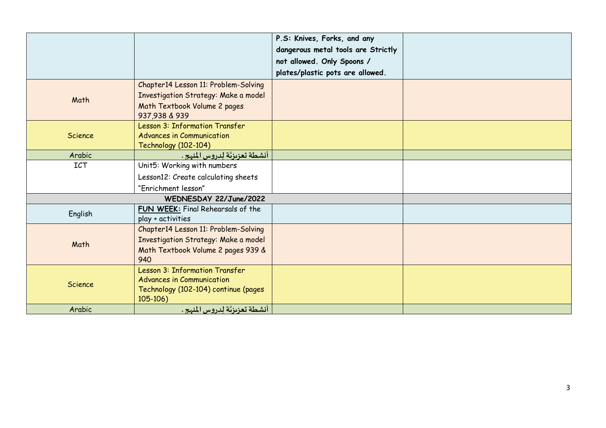|                        |                                                                                                                               | P.S: Knives, Forks, and any        |  |
|------------------------|-------------------------------------------------------------------------------------------------------------------------------|------------------------------------|--|
|                        |                                                                                                                               | dangerous metal tools are Strictly |  |
|                        |                                                                                                                               | not allowed. Only Spoons /         |  |
|                        |                                                                                                                               | plates/plastic pots are allowed.   |  |
| Math                   | Chapter14 Lesson 11: Problem-Solving<br>Investigation Strategy: Make a model<br>Math Textbook Volume 2 pages<br>937,938 & 939 |                                    |  |
| Science                | Lesson 3: Information Transfer<br><b>Advances in Communication</b><br><b>Technology (102-104)</b>                             |                                    |  |
| Arabic                 | أنشطة تعزيزتّة لِدروس المنهج .                                                                                                |                                    |  |
| <b>ICT</b>             | Unit5: Working with numbers                                                                                                   |                                    |  |
|                        | Lesson12: Create calculating sheets                                                                                           |                                    |  |
|                        | "Enrichment lesson"                                                                                                           |                                    |  |
| WEDNESDAY 22/June/2022 |                                                                                                                               |                                    |  |
| English                | FUN WEEK: Final Rehearsals of the<br>play + activities                                                                        |                                    |  |
| Math                   | Chapter14 Lesson 11: Problem-Solving<br>Investigation Strategy: Make a model<br>Math Textbook Volume 2 pages 939 &<br>940     |                                    |  |
| Science                | Lesson 3: Information Transfer<br><b>Advances in Communication</b><br>Technology (102-104) continue (pages<br>$105 - 106$     |                                    |  |
| Arabic                 | أنشطة تعزيزتَة لِدروس المنهج .                                                                                                |                                    |  |